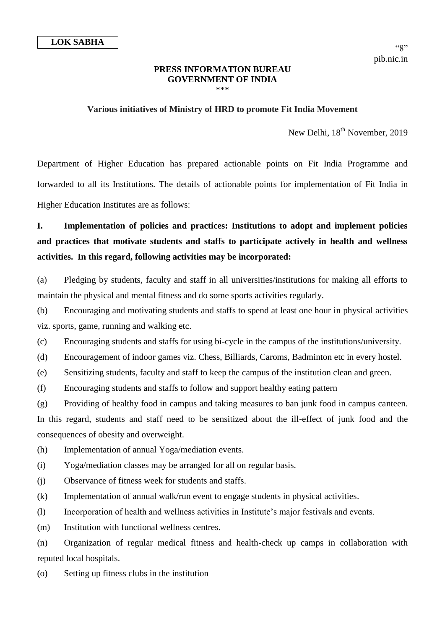#### **PRESS INFORMATION BUREAU GOVERNMENT OF INDIA** \*\*\*

### **Various initiatives of Ministry of HRD to promote Fit India Movement**

New Delhi, 18<sup>th</sup> November, 2019

Department of Higher Education has prepared actionable points on Fit India Programme and forwarded to all its Institutions. The details of actionable points for implementation of Fit India in Higher Education Institutes are as follows:

# **I. Implementation of policies and practices: Institutions to adopt and implement policies and practices that motivate students and staffs to participate actively in health and wellness activities. In this regard, following activities may be incorporated:**

(a) Pledging by students, faculty and staff in all universities/institutions for making all efforts to maintain the physical and mental fitness and do some sports activities regularly.

(b) Encouraging and motivating students and staffs to spend at least one hour in physical activities viz. sports, game, running and walking etc.

(c) Encouraging students and staffs for using bi-cycle in the campus of the institutions/university.

(d) Encouragement of indoor games viz. Chess, Billiards, Caroms, Badminton etc in every hostel.

(e) Sensitizing students, faculty and staff to keep the campus of the institution clean and green.

(f) Encouraging students and staffs to follow and support healthy eating pattern

(g) Providing of healthy food in campus and taking measures to ban junk food in campus canteen. In this regard, students and staff need to be sensitized about the ill-effect of junk food and the consequences of obesity and overweight.

(h) Implementation of annual Yoga/mediation events.

(i) Yoga/mediation classes may be arranged for all on regular basis.

(j) Observance of fitness week for students and staffs.

(k) Implementation of annual walk/run event to engage students in physical activities.

(l) Incorporation of health and wellness activities in Institute's major festivals and events.

(m) Institution with functional wellness centres.

(n) Organization of regular medical fitness and health-check up camps in collaboration with reputed local hospitals.

(o) Setting up fitness clubs in the institution